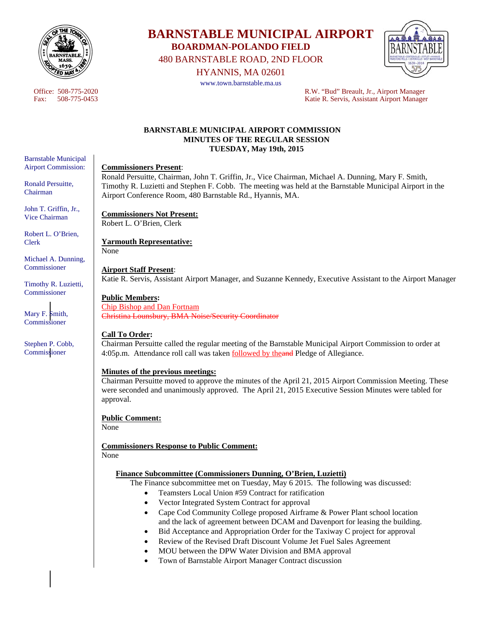

# **BARNSTABLE MUNICIPAL AIRPORT BOARDMAN-POLANDO FIELD**

480 BARNSTABLE ROAD, 2ND FLOOR

HYANNIS, MA 02601

www.town.barnstable.ma.us



Office: 508-775-2020<br>
Fax: 508-775-0453<br>
R.W. "Bud" Breault, Jr., Airport Manager<br>
Ratie R. Servis. Assistant Airport Manager Fax: 508-775-0453 Katie R. Servis, Assistant Airport Manager

## **BARNSTABLE MUNICIPAL AIRPORT COMMISSION MINUTES OF THE REGULAR SESSION TUESDAY, May 19th, 2015**

#### **Commissioners Present**:

Ronald Persuitte, Chairman, John T. Griffin, Jr., Vice Chairman, Michael A. Dunning, Mary F. Smith, Timothy R. Luzietti and Stephen F. Cobb. The meeting was held at the Barnstable Municipal Airport in the Airport Conference Room, 480 Barnstable Rd., Hyannis, MA.

#### **Commissioners Not Present:**  Robert L. O'Brien, Clerk

**Yarmouth Representative:**  None

#### **Airport Staff Present**:

Katie R. Servis, Assistant Airport Manager, and Suzanne Kennedy, Executive Assistant to the Airport Manager

## **Public Members:**

Chip Bishop and Dan Fortnam Christina Lounsbury, BMA Noise/Security Coordinator

# **Call To Order:**

Chairman Persuitte called the regular meeting of the Barnstable Municipal Airport Commission to order at 4:05p.m. Attendance roll call was taken **followed by theand Pledge of Allegiance**.

#### **Minutes of the previous meetings:**

Chairman Persuitte moved to approve the minutes of the April 21, 2015 Airport Commission Meeting. These were seconded and unanimously approved. The April 21, 2015 Executive Session Minutes were tabled for approval.

#### **Public Comment:**

None

**Commissioners Response to Public Comment:**  None

#### **Finance Subcommittee (Commissioners Dunning, O'Brien, Luzietti)**

The Finance subcommittee met on Tuesday, May 6 2015. The following was discussed:

- Teamsters Local Union #59 Contract for ratification
- Vector Integrated System Contract for approval
- Cape Cod Community College proposed Airframe & Power Plant school location and the lack of agreement between DCAM and Davenport for leasing the building.
- Bid Acceptance and Appropriation Order for the Taxiway C project for approval
- Review of the Revised Draft Discount Volume Jet Fuel Sales Agreement
- MOU between the DPW Water Division and BMA approval
- Town of Barnstable Airport Manager Contract discussion

Barnstable Municipal Airport Commission:

Ronald Persuitte, Chairman

John T. Griffin, Jr., Vice Chairman

Robert L. O'Brien, Clerk

Michael A. Dunning, Commissioner

Timothy R. Luzietti, Commissioner

Mary F. Smith, Commissioner

Stephen P. Cobb, Commissioner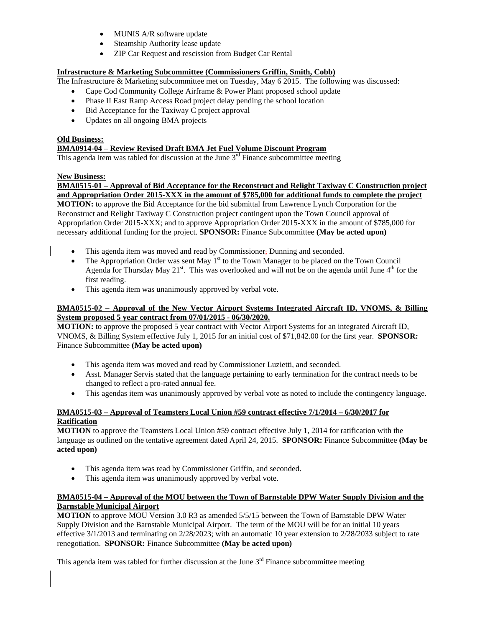- MUNIS A/R software update
- Steamship Authority lease update
- ZIP Car Request and rescission from Budget Car Rental

# **Infrastructure & Marketing Subcommittee (Commissioners Griffin, Smith, Cobb)**

The Infrastructure & Marketing subcommittee met on Tuesday, May 6 2015. The following was discussed:

- Cape Cod Community College Airframe & Power Plant proposed school update
- Phase II East Ramp Access Road project delay pending the school location
- Bid Acceptance for the Taxiway C project approval
- Updates on all ongoing BMA projects

#### **Old Business: BMA0914-04 – Review Revised Draft BMA Jet Fuel Volume Discount Program**

This agenda item was tabled for discussion at the June  $3<sup>rd</sup>$  Finance subcommittee meeting

## **New Business:**

**BMA0515-01 – Approval of Bid Acceptance for the Reconstruct and Relight Taxiway C Construction project and Appropriation Order 2015-XXX in the amount of \$785,000 for additional funds to complete the project MOTION:** to approve the Bid Acceptance for the bid submittal from Lawrence Lynch Corporation for the Reconstruct and Relight Taxiway C Construction project contingent upon the Town Council approval of Appropriation Order 2015-XXX; and to approve Appropriation Order 2015-XXX in the amount of \$785,000 for necessary additional funding for the project. **SPONSOR:** Finance Subcommittee **(May be acted upon)** 

- This agenda item was moved and read by Commissioner, Dunning and seconded.
- The Appropriation Order was sent May  $1<sup>st</sup>$  to the Town Manager to be placed on the Town Council Agenda for Thursday May 21<sup>st</sup>. This was overlooked and will not be on the agenda until June 4<sup>th</sup> for the first reading.
- This agenda item was unanimously approved by verbal vote.

## **BMA0515-02 – Approval of the New Vector Airport Systems Integrated Aircraft ID, VNOMS, & Billing System proposed 5 year contract from 07/01/2015 - 06/30/2020.**

**MOTION:** to approve the proposed 5 year contract with Vector Airport Systems for an integrated Aircraft ID, VNOMS, & Billing System effective July 1, 2015 for an initial cost of \$71,842.00 for the first year. **SPONSOR:** Finance Subcommittee **(May be acted upon)** 

- This agenda item was moved and read by Commissioner Luzietti, and seconded.
- Asst. Manager Servis stated that the language pertaining to early termination for the contract needs to be changed to reflect a pro-rated annual fee.
- This agendas item was unanimously approved by verbal vote as noted to include the contingency language.

## **BMA0515-03 – Approval of Teamsters Local Union #59 contract effective 7/1/2014 – 6/30/2017 for Ratification**

**MOTION** to approve the Teamsters Local Union #59 contract effective July 1, 2014 for ratification with the language as outlined on the tentative agreement dated April 24, 2015. **SPONSOR:** Finance Subcommittee **(May be acted upon)** 

- This agenda item was read by Commissioner Griffin, and seconded.
- This agenda item was unanimously approved by verbal vote.

## **BMA0515-04 – Approval of the MOU between the Town of Barnstable DPW Water Supply Division and the Barnstable Municipal Airport**

**MOTION** to approve MOU Version 3.0 R3 as amended 5/5/15 between the Town of Barnstable DPW Water Supply Division and the Barnstable Municipal Airport. The term of the MOU will be for an initial 10 years effective 3/1/2013 and terminating on 2/28/2023; with an automatic 10 year extension to 2/28/2033 subject to rate renegotiation. **SPONSOR:** Finance Subcommittee **(May be acted upon)** 

This agenda item was tabled for further discussion at the June  $3<sup>rd</sup>$  Finance subcommittee meeting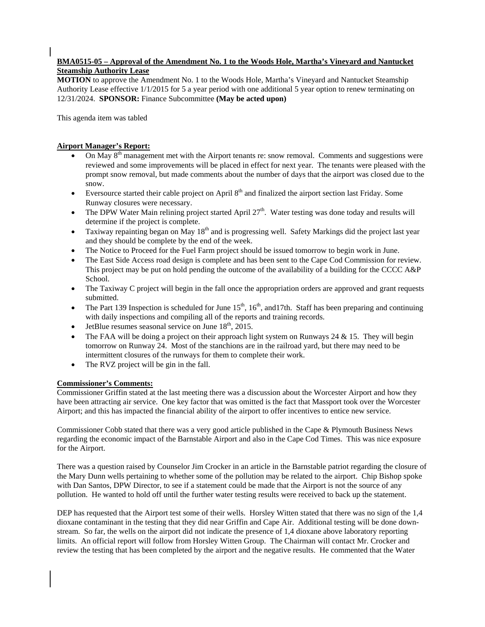## **BMA0515-05 – Approval of the Amendment No. 1 to the Woods Hole, Martha's Vineyard and Nantucket Steamship Authority Lease**

**MOTION** to approve the Amendment No. 1 to the Woods Hole, Martha's Vineyard and Nantucket Steamship Authority Lease effective 1/1/2015 for 5 a year period with one additional 5 year option to renew terminating on 12/31/2024. **SPONSOR:** Finance Subcommittee **(May be acted upon)**

This agenda item was tabled

# **Airport Manager's Report:**

- On May 8<sup>th</sup> management met with the Airport tenants re: snow removal. Comments and suggestions were reviewed and some improvements will be placed in effect for next year. The tenants were pleased with the prompt snow removal, but made comments about the number of days that the airport was closed due to the snow.
- Eversource started their cable project on April  $8<sup>th</sup>$  and finalized the airport section last Friday. Some Runway closures were necessary.
- The DPW Water Main relining project started April 27<sup>th</sup>. Water testing was done today and results will determine if the project is complete.
- $\bullet$  Taxiway repainting began on May 18<sup>th</sup> and is progressing well. Safety Markings did the project last year and they should be complete by the end of the week.
- The Notice to Proceed for the Fuel Farm project should be issued tomorrow to begin work in June.
- The East Side Access road design is complete and has been sent to the Cape Cod Commission for review. This project may be put on hold pending the outcome of the availability of a building for the CCCC A&P School.
- The Taxiway C project will begin in the fall once the appropriation orders are approved and grant requests submitted.
- The Part 139 Inspection is scheduled for June  $15<sup>th</sup>$ ,  $16<sup>th</sup>$ , and 17th. Staff has been preparing and continuing with daily inspections and compiling all of the reports and training records.
- JetBlue resumes seasonal service on June  $18<sup>th</sup>$ , 2015.
- The FAA will be doing a project on their approach light system on Runways 24  $\&$  15. They will begin tomorrow on Runway 24. Most of the stanchions are in the railroad yard, but there may need to be intermittent closures of the runways for them to complete their work.
- The RVZ project will be gin in the fall.

# **Commissioner's Comments:**

Commissioner Griffin stated at the last meeting there was a discussion about the Worcester Airport and how they have been attracting air service. One key factor that was omitted is the fact that Massport took over the Worcester Airport; and this has impacted the financial ability of the airport to offer incentives to entice new service.

Commissioner Cobb stated that there was a very good article published in the Cape & Plymouth Business News regarding the economic impact of the Barnstable Airport and also in the Cape Cod Times. This was nice exposure for the Airport.

There was a question raised by Counselor Jim Crocker in an article in the Barnstable patriot regarding the closure of the Mary Dunn wells pertaining to whether some of the pollution may be related to the airport. Chip Bishop spoke with Dan Santos, DPW Director, to see if a statement could be made that the Airport is not the source of any pollution. He wanted to hold off until the further water testing results were received to back up the statement.

DEP has requested that the Airport test some of their wells. Horsley Witten stated that there was no sign of the 1,4 dioxane contaminant in the testing that they did near Griffin and Cape Air. Additional testing will be done downstream. So far, the wells on the airport did not indicate the presence of 1,4 dioxane above laboratory reporting limits. An official report will follow from Horsley Witten Group. The Chairman will contact Mr. Crocker and review the testing that has been completed by the airport and the negative results. He commented that the Water